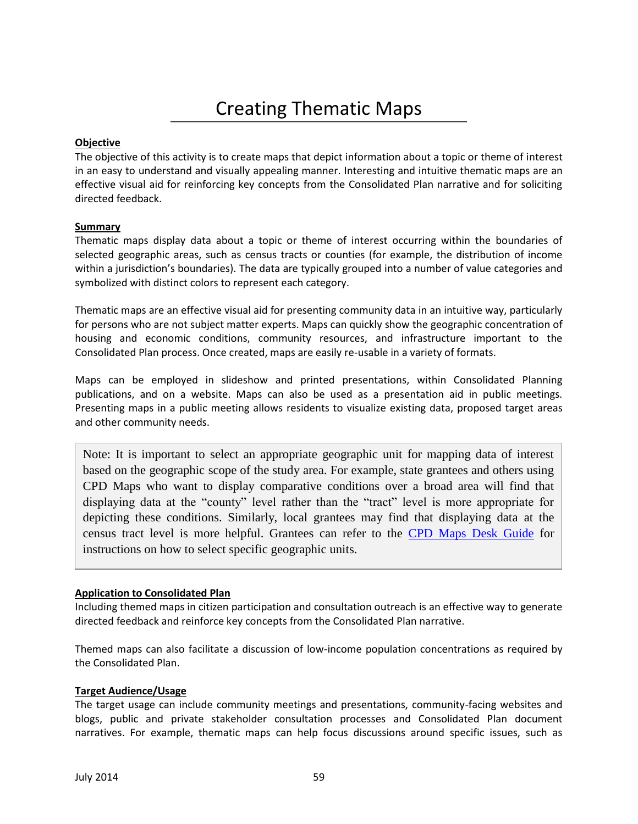# Creating Thematic Maps

## **Objective**

The objective of this activity is to create maps that depict information about a topic or theme of interest in an easy to understand and visually appealing manner. Interesting and intuitive thematic maps are an effective visual aid for reinforcing key concepts from the Consolidated Plan narrative and for soliciting directed feedback.

## **Summary**

Thematic maps display data about a topic or theme of interest occurring within the boundaries of selected geographic areas, such as census tracts or counties (for example, the distribution of income within a jurisdiction's boundaries). The data are typically grouped into a number of value categories and symbolized with distinct colors to represent each category.

Thematic maps are an effective visual aid for presenting community data in an intuitive way, particularly for persons who are not subject matter experts. Maps can quickly show the geographic concentration of housing and economic conditions, community resources, and infrastructure important to the Consolidated Plan process. Once created, maps are easily re-usable in a variety of formats.

Maps can be employed in slideshow and printed presentations, within Consolidated Planning publications, and on a website. Maps can also be used as a presentation aid in public meetings. Presenting maps in a public meeting allows residents to visualize existing data, proposed target areas and other community needs.

Note: It is important to select an appropriate geographic unit for mapping data of interest based on the geographic scope of the study area. For example, state grantees and others using CPD Maps who want to display comparative conditions over a broad area will find that displaying data at the "county" level rather than the "tract" level is more appropriate for depicting these conditions. Similarly, local grantees may find that displaying data at the census tract level is more helpful. Grantees can refer to the [CPD Maps Desk Guide](http://portal.hud.gov/hudportal/HUD?src=/program_offices/comm_planning/about/conplan/cpdmaps) for instructions on how to select specific geographic units.

## **Application to Consolidated Plan**

Including themed maps in citizen participation and consultation outreach is an effective way to generate directed feedback and reinforce key concepts from the Consolidated Plan narrative.

Themed maps can also facilitate a discussion of low-income population concentrations as required by the Consolidated Plan.

## **Target Audience/Usage**

The target usage can include community meetings and presentations, community-facing websites and blogs, public and private stakeholder consultation processes and Consolidated Plan document narratives. For example, thematic maps can help focus discussions around specific issues, such as